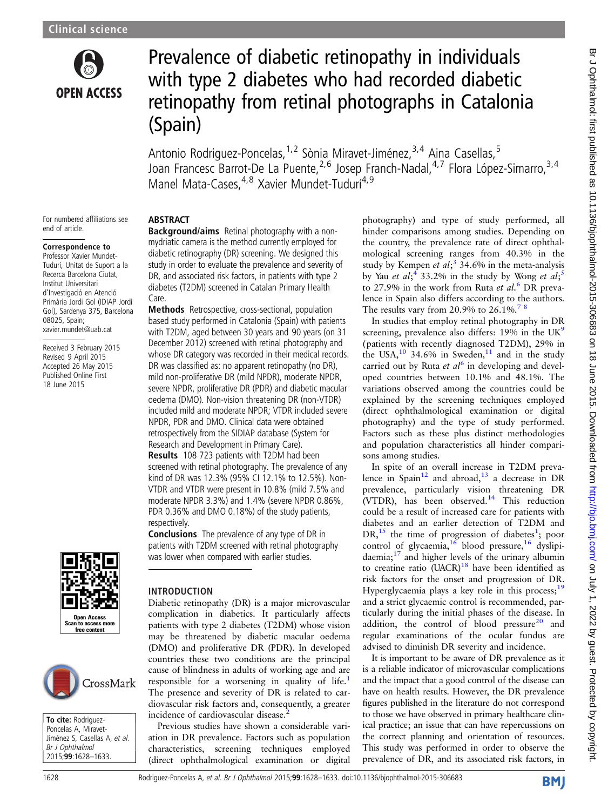

# Prevalence of diabetic retinopathy in individuals with type 2 diabetes who had recorded diabetic retinopathy from retinal photographs in Catalonia (Spain)

Antonio Rodriguez-Poncelas, <sup>1,2</sup> Sònia Miravet-Jiménez, <sup>3,4</sup> Aina Casellas, <sup>5</sup> Joan Francesc Barrot-De La Puente, 2,6 Josep Franch-Nadal, <sup>4,7</sup> Flora López-Simarro, 3,4 Manel Mata-Cases.<sup>4,8</sup> Xavier Mundet-Tuduri<sup>4,9</sup>

For numbered affiliations see end of article.

### Correspondence to

Professor Xavier Mundet-Tudurí, Unitat de Suport a la Recerca Barcelona Ciutat, Institut Universitari d'Investigació en Atenció Primària Jordi Gol (IDIAP Jordi Gol), Sardenya 375, Barcelona 08025, Spain; xavier.mundet@uab.cat

Received 3 February 2015 Revised 9 April 2015 Accepted 26 May 2015 Published Online First 18 June 2015



CrossMark



respectively.

ABSTRACT

Care.

Background/aims Retinal photography with a nonmydriatic camera is the method currently employed for diabetic retinography (DR) screening. We designed this study in order to evaluate the prevalence and severity of DR, and associated risk factors, in patients with type 2 diabetes (T2DM) screened in Catalan Primary Health

Methods Retrospective, cross-sectional, population based study performed in Catalonia (Spain) with patients with T2DM, aged between 30 years and 90 years (on 31 December 2012) screened with retinal photography and whose DR category was recorded in their medical records. DR was classified as: no apparent retinopathy (no DR), mild non-proliferative DR (mild NPDR), moderate NPDR, severe NPDR, proliferative DR (PDR) and diabetic macular oedema (DMO). Non-vision threatening DR (non-VTDR) included mild and moderate NPDR; VTDR included severe NPDR, PDR and DMO. Clinical data were obtained retrospectively from the SIDIAP database (System for Research and Development in Primary Care). **Results** 108 723 patients with T2DM had been screened with retinal photography. The prevalence of any kind of DR was 12.3% (95% CI 12.1% to 12.5%). Non-VTDR and VTDR were present in 10.8% (mild 7.5% and moderate NPDR 3.3%) and 1.4% (severe NPDR 0.86%, PDR 0.36% and DMO 0.18%) of the study patients,

Diabetic retinopathy (DR) is a major microvascular complication in diabetics. It particularly affects patients with type 2 diabetes (T2DM) whose vision may be threatened by diabetic macular oedema (DMO) and proliferative DR (PDR). In developed countries these two conditions are the principal cause of blindness in adults of working age and are responsible for a worsening in quality of life.<sup>[1](#page-4-0)</sup> The presence and severity of DR is related to cardiovascular risk factors and, consequently, a greater incidence of cardiovascular disease.<sup>2</sup>

Conclusions The prevalence of any type of DR in patients with T2DM screened with retinal photography was lower when compared with earlier studies.

Previous studies have shown a considerable variation in DR prevalence. Factors such as population characteristics, screening techniques employed (direct ophthalmological examination or digital photography) and type of study performed, all hinder comparisons among studies. Depending on the country, the prevalence rate of direct ophthalmological screening ranges from 40.3% in the study by Kempen et  $al$ ;<sup>[3](#page-4-0)</sup> 34.6% in the meta-analysis by Yau et  $al_i^4$  $al_i^4$  33.2% in the study by Wong et  $al_i^5$  $al_i^5$ to 27.9% in the work from Ruta et al.<sup>[6](#page-4-0)</sup> DR prevalence in Spain also differs according to the authors. The results vary from 20.9% to  $26.1\%$ .

In studies that employ retinal photography in DR screening, prevalence also differs:  $19\%$  $19\%$  $19\%$  in the UK $9$ (patients with recently diagnosed T2DM), 29% in the USA, $10$  34.6% in Sweden, $11$  and in the study carried out by Ruta et  $al^6$  $al^6$  in developing and developed countries between 10.1% and 48.1%. The variations observed among the countries could be explained by the screening techniques employed (direct ophthalmological examination or digital photography) and the type of study performed. Factors such as these plus distinct methodologies and population characteristics all hinder comparisons among studies.

In spite of an overall increase in T2DM preva-lence in Spain<sup>12</sup> and abroad,<sup>[13](#page-4-0)</sup> a decrease in DR prevalence, particularly vision threatening DR (VTDR), has been observed. $14$  This reduction could be a result of increased care for patients with diabetes and an earlier detection of T2DM and DR, $^{15}$  $^{15}$  $^{15}$  the time of progression of diabetes<sup>[1](#page-4-0)</sup>; poor control of glycaemia,<sup>[16](#page-4-0)</sup> blood pressure,<sup>16</sup> dyslipidaemia; $17$  and higher levels of the urinary albumin to creatine ratio (UACR) $18$  have been identified as risk factors for the onset and progression of DR. Hyperglycaemia plays a key role in this process;  $19$ and a strict glycaemic control is recommended, particularly during the initial phases of the disease. In addition, the control of blood pressure $20$  and regular examinations of the ocular fundus are advised to diminish DR severity and incidence.

It is important to be aware of DR prevalence as it is a reliable indicator of microvascular complications and the impact that a good control of the disease can have on health results. However, the DR prevalence figures published in the literature do not correspond to those we have observed in primary healthcare clinical practice; an issue that can have repercussions on the correct planning and orientation of resources. This study was performed in order to observe the prevalence of DR, and its associated risk factors, in

**BMI** 

To cite: Rodriguez-Poncelas A, Miravet-Jiménez S, Casellas A, et al. Br J Ophthalmol 2015;99:1628–1633.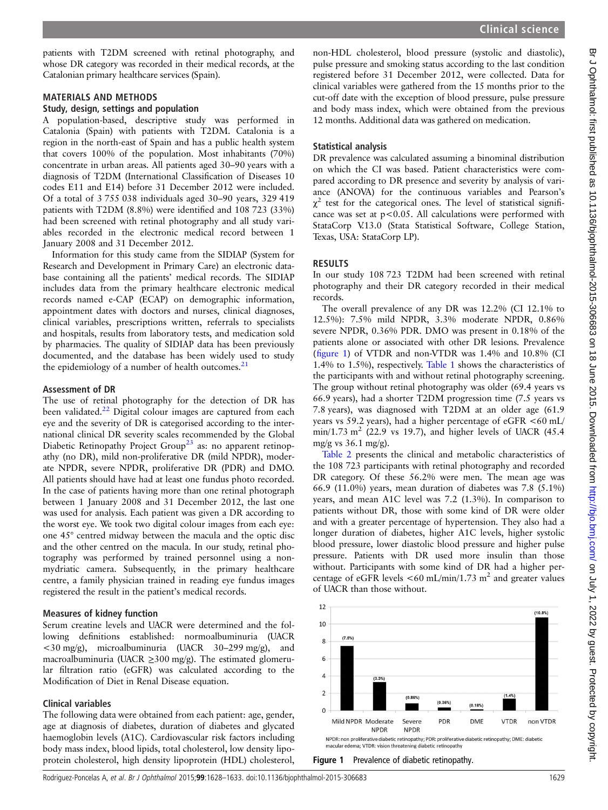patients with T2DM screened with retinal photography, and whose DR category was recorded in their medical records, at the Catalonian primary healthcare services (Spain).

# MATERIALS AND METHODS

# Study, design, settings and population

A population-based, descriptive study was performed in Catalonia (Spain) with patients with T2DM. Catalonia is a region in the north-east of Spain and has a public health system that covers 100% of the population. Most inhabitants (70%) concentrate in urban areas. All patients aged 30–90 years with a diagnosis of T2DM (International Classification of Diseases 10 codes E11 and E14) before 31 December 2012 were included. Of a total of 3 755 038 individuals aged 30–90 years, 329 419 patients with T2DM (8.8%) were identified and 108 723 (33%) had been screened with retinal photography and all study variables recorded in the electronic medical record between 1 January 2008 and 31 December 2012.

Information for this study came from the SIDIAP (System for Research and Development in Primary Care) an electronic database containing all the patients' medical records. The SIDIAP includes data from the primary healthcare electronic medical records named e-CAP (ECAP) on demographic information, appointment dates with doctors and nurses, clinical diagnoses, clinical variables, prescriptions written, referrals to specialists and hospitals, results from laboratory tests, and medication sold by pharmacies. The quality of SIDIAP data has been previously documented, and the database has been widely used to study the epidemiology of a number of health outcomes. $21$ 

## Assessment of DR

The use of retinal photography for the detection of DR has been validated.<sup>22</sup> Digital colour images are captured from each eye and the severity of DR is categorised according to the international clinical DR severity scales recommended by the Global Diabetic Retinopathy Project Group<sup>23</sup> as: no apparent retinopathy (no DR), mild non-proliferative DR (mild NPDR), moderate NPDR, severe NPDR, proliferative DR (PDR) and DMO. All patients should have had at least one fundus photo recorded. In the case of patients having more than one retinal photograph between 1 January 2008 and 31 December 2012, the last one was used for analysis. Each patient was given a DR according to the worst eye. We took two digital colour images from each eye: one 45° centred midway between the macula and the optic disc and the other centred on the macula. In our study, retinal photography was performed by trained personnel using a nonmydriatic camera. Subsequently, in the primary healthcare centre, a family physician trained in reading eye fundus images registered the result in the patient's medical records.

# Measures of kidney function

Serum creatine levels and UACR were determined and the following definitions established: normoalbuminuria (UACR <30 mg/g), microalbuminuria (UACR 30–299 mg/g), and macroalbuminuria (UACR  $\geq$ 300 mg/g). The estimated glomerular filtration ratio (eGFR) was calculated according to the Modification of Diet in Renal Disease equation.

# Clinical variables

The following data were obtained from each patient: age, gender, age at diagnosis of diabetes, duration of diabetes and glycated haemoglobin levels (A1C). Cardiovascular risk factors including body mass index, blood lipids, total cholesterol, low density lipoprotein cholesterol, high density lipoprotein (HDL) cholesterol,

non-HDL cholesterol, blood pressure (systolic and diastolic), pulse pressure and smoking status according to the last condition registered before 31 December 2012, were collected. Data for clinical variables were gathered from the 15 months prior to the cut-off date with the exception of blood pressure, pulse pressure and body mass index, which were obtained from the previous 12 months. Additional data was gathered on medication.

# Statistical analysis

DR prevalence was calculated assuming a binominal distribution on which the CI was based. Patient characteristics were compared according to DR presence and severity by analysis of variance (ANOVA) for the continuous variables and Pearson's  $\chi^2$  test for the categorical ones. The level of statistical significance was set at  $p < 0.05$ . All calculations were performed with StataCorp V.13.0 (Stata Statistical Software, College Station, Texas, USA: StataCorp LP).

# RESULTS

In our study 108 723 T2DM had been screened with retinal photography and their DR category recorded in their medical records.

The overall prevalence of any DR was 12.2% (CI 12.1% to 12.5%): 7.5% mild NPDR, 3.3% moderate NPDR, 0.86% severe NPDR, 0.36% PDR. DMO was present in 0.18% of the patients alone or associated with other DR lesions. Prevalence (figure 1) of VTDR and non-VTDR was 1.4% and 10.8% (CI 1.4% to 1.5%), respectively. [Table 1](#page-2-0) shows the characteristics of the participants with and without retinal photography screening. The group without retinal photography was older (69.4 years vs 66.9 years), had a shorter T2DM progression time (7.5 years vs 7.8 years), was diagnosed with T2DM at an older age (61.9 years vs 59.2 years), had a higher percentage of  $e$ GFR  $\lt 60$  mL/  $min/1.73$   $m^2$  (22.9 vs 19.7), and higher levels of UACR (45.4) mg/g vs 36.1 mg/g).

[Table 2](#page-2-0) presents the clinical and metabolic characteristics of the 108 723 participants with retinal photography and recorded DR category. Of these 56.2% were men. The mean age was 66.9 (11.0%) years, mean duration of diabetes was 7.8 (5.1%) years, and mean A1C level was 7.2 (1.3%). In comparison to patients without DR, those with some kind of DR were older and with a greater percentage of hypertension. They also had a longer duration of diabetes, higher A1C levels, higher systolic blood pressure, lower diastolic blood pressure and higher pulse pressure. Patients with DR used more insulin than those without. Participants with some kind of DR had a higher percentage of eGFR levels  $\leq 60$  mL/min/1.73 m<sup>2</sup> and greater values of UACR than those without.



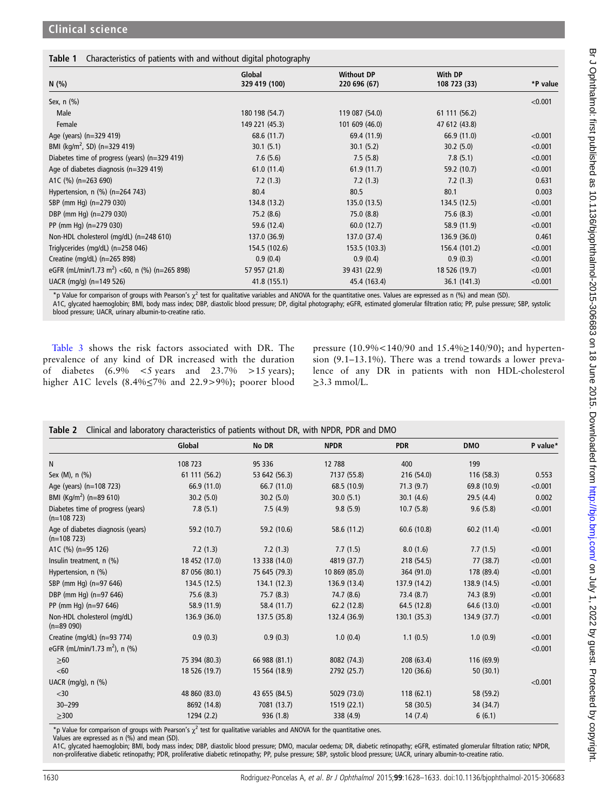# <span id="page-2-0"></span>Table 1 Characteristics of patients with and without digital photography

| N(%)                                                      | Global<br>329 419 (100) | <b>Without DP</b><br>220 696 (67) | With DP<br>108 723 (33) | *P value |
|-----------------------------------------------------------|-------------------------|-----------------------------------|-------------------------|----------|
| Sex, $n$ $(\%)$                                           |                         |                                   |                         | < 0.001  |
| Male                                                      | 180 198 (54.7)          | 119 087 (54.0)                    | 61 111 (56.2)           |          |
| Female                                                    | 149 221 (45.3)          | 101 609 (46.0)                    | 47 612 (43.8)           |          |
| Age (years) (n=329 419)                                   | 68.6 (11.7)             | 69.4 (11.9)                       | 66.9 (11.0)             | < 0.001  |
| BMI (kg/m <sup>2</sup> , SD) (n=329 419)                  | 30.1(5.1)               | 30.1(5.2)                         | 30.2(5.0)               | < 0.001  |
| Diabetes time of progress (years) $(n=329 419)$           | 7.6(5.6)                | 7.5(5.8)                          | 7.8(5.1)                | < 0.001  |
| Age of diabetes diagnosis (n=329 419)                     | 61.0 (11.4)             | 61.9(11.7)                        | 59.2 (10.7)             | < 0.001  |
| A1C $(\%)$ (n=263 690)                                    | 7.2(1.3)                | 7.2(1.3)                          | 7.2(1.3)                | 0.631    |
| Hypertension, $n$ (%) ( $n=264$ 743)                      | 80.4                    | 80.5                              | 80.1                    | 0.003    |
| SBP (mm Hg) (n=279 030)                                   | 134.8 (13.2)            | 135.0 (13.5)                      | 134.5 (12.5)            | < 0.001  |
| DBP (mm Hg) (n=279 030)                                   | 75.2(8.6)               | 75.0(8.8)                         | 75.6(8.3)               | < 0.001  |
| PP (mm Hg) (n=279 030)                                    | 59.6 (12.4)             | 60.0(12.7)                        | 58.9 (11.9)             | < 0.001  |
| Non-HDL cholesterol (mg/dL) (n=248 610)                   | 137.0 (36.9)            | 137.0 (37.4)                      | 136.9 (36.0)            | 0.461    |
| Triglycerides (mg/dL) (n=258 046)                         | 154.5 (102.6)           | 153.5 (103.3)                     | 156.4 (101.2)           | < 0.001  |
| Creatine (mg/dL) (n=265 898)                              | 0.9(0.4)                | 0.9(0.4)                          | 0.9(0.3)                | < 0.001  |
| eGFR (mL/min/1.73 m <sup>2</sup> ) <60, n (%) (n=265 898) | 57 957 (21.8)           | 39 431 (22.9)                     | 18 526 (19.7)           | < 0.001  |
| UACR (mg/g) (n=149 526)                                   | 41.8 (155.1)            | 45.4 (163.4)                      | 36.1 (141.3)            | < 0.001  |

\*p Value for comparison of groups with Pearson's  $\chi^2$  test for qualitative variables and ANOVA for the quantitative ones. Values are expressed as n (%) and mean (SD).<br>A1C, glycated haemoglobin; BMI, body mass index; DBP,

blood pressure; UACR, urinary albumin-to-creatine ratio.

[Table 3](#page-3-0) shows the risk factors associated with DR. The prevalence of any kind of DR increased with the duration of diabetes  $(6.9\% \le 5 \text{ years} \text{ and } 23.7\% > 15 \text{ years});$ higher A1C levels (8.4%≤7% and 22.9>9%); poorer blood

pressure (10.9%<140/90 and 15.4%≥140/90); and hypertension (9.1–13.1%). There was a trend towards a lower prevalence of any DR in patients with non HDL-cholesterol  $\geq$ 3.3 mmol/L.

# Table 2 Clinical and laboratory characteristics of patients without DR, with NPDR, PDR and DMO

|                                                   | Global        | No DR         | <b>NPDR</b>   | <b>PDR</b>   | <b>DMO</b>   | P value* |
|---------------------------------------------------|---------------|---------------|---------------|--------------|--------------|----------|
| N                                                 | 108 723       | 95 336        | 12 788        | 400          | 199          |          |
| Sex (M), n (%)                                    | 61 111 (56.2) | 53 642 (56.3) | 7137 (55.8)   | 216(54.0)    | 116 (58.3)   | 0.553    |
| Age (years) (n=108 723)                           | 66.9 (11.0)   | 66.7 (11.0)   | 68.5 (10.9)   | 71.3(9.7)    | 69.8 (10.9)  | < 0.001  |
| BMI (Kg/m <sup>2</sup> ) (n=89 610)               | 30.2(5.0)     | 30.2(5.0)     | 30.0(5.1)     | 30.1(4.6)    | 29.5(4.4)    | 0.002    |
| Diabetes time of progress (years)<br>$(n=108723)$ | 7.8(5.1)      | 7.5(4.9)      | 9.8(5.9)      | 10.7(5.8)    | 9.6(5.8)     | < 0.001  |
| Age of diabetes diagnosis (years)<br>$(n=108723)$ | 59.2 (10.7)   | 59.2 (10.6)   | 58.6 (11.2)   | 60.6(10.8)   | 60.2 (11.4)  | < 0.001  |
| A1C (%) (n=95 126)                                | 7.2(1.3)      | 7.2(1.3)      | 7.7(1.5)      | 8.0(1.6)     | 7.7(1.5)     | < 0.001  |
| Insulin treatment, $n$ $(\%)$                     | 18 452 (17.0) | 13 338 (14.0) | 4819 (37.7)   | 218 (54.5)   | 77 (38.7)    | < 0.001  |
| Hypertension, n (%)                               | 87 056 (80.1) | 75 645 (79.3) | 10 869 (85.0) | 364 (91.0)   | 178 (89.4)   | < 0.001  |
| SBP (mm Hg) (n=97 646)                            | 134.5 (12.5)  | 134.1 (12.3)  | 136.9 (13.4)  | 137.9 (14.2) | 138.9 (14.5) | < 0.001  |
| DBP (mm Hg) (n=97 646)                            | 75.6(8.3)     | 75.7(8.3)     | 74.7 (8.6)    | 73.4(8.7)    | 74.3 (8.9)   | < 0.001  |
| PP (mm Hg) (n=97 646)                             | 58.9 (11.9)   | 58.4 (11.7)   | 62.2(12.8)    | 64.5 (12.8)  | 64.6 (13.0)  | < 0.001  |
| Non-HDL cholesterol (mg/dL)<br>$(n=89090)$        | 136.9 (36.0)  | 137.5 (35.8)  | 132.4 (36.9)  | 130.1(35.3)  | 134.9 (37.7) | < 0.001  |
| Creatine (mg/dL) (n=93 774)                       | 0.9(0.3)      | 0.9(0.3)      | 1.0(0.4)      | 1.1(0.5)     | 1.0(0.9)     | < 0.001  |
| eGFR (mL/min/1.73 m <sup>2</sup> ), n (%)         |               |               |               |              |              | < 0.001  |
| $\geq 60$                                         | 75 394 (80.3) | 66 988 (81.1) | 8082 (74.3)   | 208 (63.4)   | 116 (69.9)   |          |
| <60                                               | 18 526 (19.7) | 15 564 (18.9) | 2792 (25.7)   | 120 (36.6)   | 50(30.1)     |          |
| UACR (mg/g), n (%)                                |               |               |               |              |              | < 0.001  |
| $30$                                              | 48 860 (83.0) | 43 655 (84.5) | 5029 (73.0)   | 118(62.1)    | 58 (59.2)    |          |
| $30 - 299$                                        | 8692 (14.8)   | 7081 (13.7)   | 1519 (22.1)   | 58 (30.5)    | 34 (34.7)    |          |
| $\geq$ 300                                        | 1294(2.2)     | 936(1.8)      | 338 (4.9)     | 14(7.4)      | 6(6.1)       |          |

\*p Value for comparison of groups with Pearson's  $\chi^2$  test for qualitative variables and ANOVA for the quantitative ones.<br>Values are expressed as n (%) and mean (SD).

A1C, glycated haemoglobin; BMI, body mass index; DBP, diastolic blood pressure; DMO, macular oedema; DR, diabetic retinopathy; eGFR, estimated glomerular filtration ratio; NPDR, non-proliferative diabetic retinopathy; PDR, proliferative diabetic retinopathy; PP, pulse pressure; SBP, systolic blood pressure; UACR, urinary albumin-to-creatine ratio.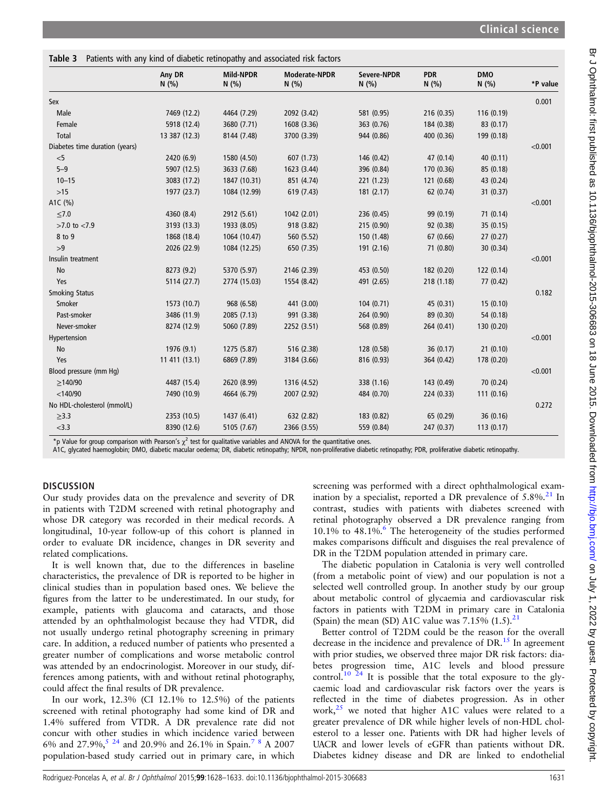<span id="page-3-0"></span>

|                                | Any DR<br>N (%) | <b>Mild-NPDR</b><br>N(% ) | Moderate-NPDR<br>N(% ) | Severe-NPDR<br>N(%) | <b>PDR</b><br>N(% ) | <b>DMO</b><br>N(%) | *P value |
|--------------------------------|-----------------|---------------------------|------------------------|---------------------|---------------------|--------------------|----------|
| Sex                            |                 |                           |                        |                     |                     |                    | 0.001    |
| Male                           | 7469 (12.2)     | 4464 (7.29)               | 2092 (3.42)            | 581 (0.95)          | 216 (0.35)          | 116 (0.19)         |          |
| Female                         | 5918 (12.4)     | 3680 (7.71)               | 1608 (3.36)            | 363 (0.76)          | 184 (0.38)          | 83 (0.17)          |          |
| Total                          | 13 387 (12.3)   | 8144 (7.48)               | 3700 (3.39)            | 944 (0.86)          | 400 (0.36)          | 199 (0.18)         |          |
| Diabetes time duration (years) |                 |                           |                        |                     |                     |                    | < 0.001  |
| $<$ 5                          | 2420 (6.9)      | 1580 (4.50)               | 607 (1.73)             | 146 (0.42)          | 47 (0.14)           | 40(0.11)           |          |
| $5 - 9$                        | 5907 (12.5)     | 3633 (7.68)               | 1623 (3.44)            | 396 (0.84)          | 170 (0.36)          | 85 (0.18)          |          |
| $10 - 15$                      | 3083 (17.2)     | 1847 (10.31)              | 851 (4.74)             | 221(1.23)           | 121 (0.68)          | 43 (0.24)          |          |
| $>15$                          | 1977 (23.7)     | 1084 (12.99)              | 619 (7.43)             | 181(2.17)           | 62 (0.74)           | 31 (0.37)          |          |
| A1C (%)                        |                 |                           |                        |                     |                     |                    | < 0.001  |
| $≤7.0$                         | 4360 (8.4)      | 2912 (5.61)               | 1042 (2.01)            | 236 (0.45)          | 99 (0.19)           | 71 (0.14)          |          |
| $>7.0$ to $<7.9$               | 3193 (13.3)     | 1933 (8.05)               | 918 (3.82)             | 215 (0.90)          | 92 (0.38)           | 35(0.15)           |          |
| 8 to 9                         | 1868 (18.4)     | 1064 (10.47)              | 560 (5.52)             | 150 (1.48)          | 67 (0.66)           | 27(0.27)           |          |
| >9                             | 2026 (22.9)     | 1084 (12.25)              | 650 (7.35)             | 191 (2.16)          | 71 (0.80)           | 30 (0.34)          |          |
| Insulin treatment              |                 |                           |                        |                     |                     |                    | < 0.001  |
| No                             | 8273 (9.2)      | 5370 (5.97)               | 2146 (2.39)            | 453 (0.50)          | 182 (0.20)          | 122(0.14)          |          |
| Yes                            | 5114 (27.7)     | 2774 (15.03)              | 1554 (8.42)            | 491 (2.65)          | 218 (1.18)          | 77 (0.42)          |          |
| <b>Smoking Status</b>          |                 |                           |                        |                     |                     |                    | 0.182    |
| Smoker                         | 1573 (10.7)     | 968 (6.58)                | 441 (3.00)             | 104(0.71)           | 45 (0.31)           | 15(0.10)           |          |
| Past-smoker                    | 3486 (11.9)     | 2085 (7.13)               | 991 (3.38)             | 264 (0.90)          | 89 (0.30)           | 54 (0.18)          |          |
| Never-smoker                   | 8274 (12.9)     | 5060 (7.89)               | 2252 (3.51)            | 568 (0.89)          | 264(0.41)           | 130 (0.20)         |          |
| Hypertension                   |                 |                           |                        |                     |                     |                    | < 0.001  |
| No                             | 1976 (9.1)      | 1275 (5.87)               | 516 (2.38)             | 128 (0.58)          | 36(0.17)            | 21(0.10)           |          |
| Yes                            | 11 411 (13.1)   | 6869 (7.89)               | 3184 (3.66)            | 816 (0.93)          | 364 (0.42)          | 178 (0.20)         |          |
| Blood pressure (mm Hg)         |                 |                           |                        |                     |                     |                    | < 0.001  |
| $\geq$ 140/90                  | 4487 (15.4)     | 2620 (8.99)               | 1316 (4.52)            | 338 (1.16)          | 143 (0.49)          | 70 (0.24)          |          |
| $<$ 140/90                     | 7490 (10.9)     | 4664 (6.79)               | 2007 (2.92)            | 484 (0.70)          | 224 (0.33)          | 111(0.16)          |          |
| No HDL-cholesterol (mmol/L)    |                 |                           |                        |                     |                     |                    | 0.272    |
| >3.3                           | 2353 (10.5)     | 1437 (6.41)               | 632 (2.82)             | 183 (0.82)          | 65 (0.29)           | 36 (0.16)          |          |
| < 3.3                          | 8390 (12.6)     | 5105 (7.67)               | 2366 (3.55)            | 559 (0.84)          | 247 (0.37)          | 113(0.17)          |          |

\*p Value for group comparison with Pearson's  $\chi^2$  test for qualitative variables and ANOVA for the quantitative ones.<br>A1C, glycated haemoglobin; DMO, diabetic macular oedema; DR, diabetic retinopathy; NPDR, non-prolifer

### **DISCUSSION**

Our study provides data on the prevalence and severity of DR in patients with T2DM screened with retinal photography and whose DR category was recorded in their medical records. A longitudinal, 10-year follow-up of this cohort is planned in order to evaluate DR incidence, changes in DR severity and related complications.

It is well known that, due to the differences in baseline characteristics, the prevalence of DR is reported to be higher in clinical studies than in population based ones. We believe the figures from the latter to be underestimated. In our study, for example, patients with glaucoma and cataracts, and those attended by an ophthalmologist because they had VTDR, did not usually undergo retinal photography screening in primary care. In addition, a reduced number of patients who presented a greater number of complications and worse metabolic control was attended by an endocrinologist. Moreover in our study, differences among patients, with and without retinal photography, could affect the final results of DR prevalence.

In our work, 12.3% (CI 12.1% to 12.5%) of the patients screened with retinal photography had some kind of DR and 1.4% suffered from VTDR. A DR prevalence rate did not concur with other studies in which incidence varied between 6% and 27.9%[,5](#page-4-0) [24](#page-5-0) and 20.9% and 26.1% in Spain.[7 8](#page-4-0) A 2007 population-based study carried out in primary care, in which

screening was performed with a direct ophthalmological examination by a specialist, reported a DR prevalence of  $5.8\%$ <sup>[21](#page-5-0)</sup> In contrast, studies with patients with diabetes screened with retinal photography observed a DR prevalence ranging from  $10.1\%$  to 48.1%. The heterogeneity of the studies performed makes comparisons difficult and disguises the real prevalence of DR in the T2DM population attended in primary care.

The diabetic population in Catalonia is very well controlled (from a metabolic point of view) and our population is not a selected well controlled group. In another study by our group about metabolic control of glycaemia and cardiovascular risk factors in patients with T2DM in primary care in Catalonia (Spain) the mean (SD) A1C value was  $7.15\%$  (1.5).<sup>[21](#page-5-0)</sup>

Better control of T2DM could be the reason for the overall decrease in the incidence and prevalence of DR.<sup>[15](#page-4-0)</sup> In agreement with prior studies, we observed three major DR risk factors: diabetes progression time, A1C levels and blood pressure control.<sup>[10](#page-4-0)  $\frac{1}{24}$ </sup> It is possible that the total exposure to the glycaemic load and cardiovascular risk factors over the years is reflected in the time of diabetes progression. As in other work, $25$  we noted that higher A1C values were related to a greater prevalence of DR while higher levels of non-HDL cholesterol to a lesser one. Patients with DR had higher levels of UACR and lower levels of eGFR than patients without DR. Diabetes kidney disease and DR are linked to endothelial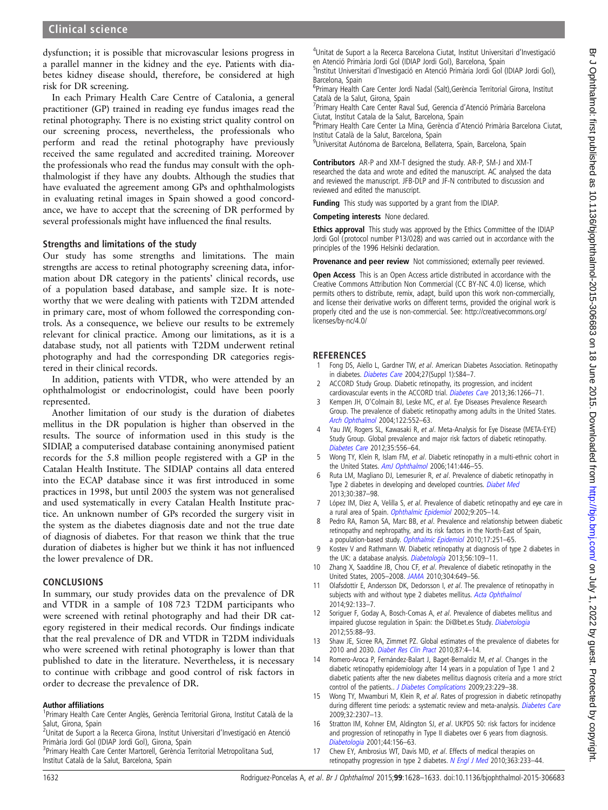<span id="page-4-0"></span>dysfunction; it is possible that microvascular lesions progress in a parallel manner in the kidney and the eye. Patients with diabetes kidney disease should, therefore, be considered at high risk for DR screening.

In each Primary Health Care Centre of Catalonia, a general practitioner (GP) trained in reading eye fundus images read the retinal photography. There is no existing strict quality control on our screening process, nevertheless, the professionals who perform and read the retinal photography have previously received the same regulated and accredited training. Moreover the professionals who read the fundus may consult with the ophthalmologist if they have any doubts. Although the studies that have evaluated the agreement among GPs and ophthalmologists in evaluating retinal images in Spain showed a good concordance, we have to accept that the screening of DR performed by several professionals might have influenced the final results.

## Strengths and limitations of the study

Our study has some strengths and limitations. The main strengths are access to retinal photography screening data, information about DR category in the patients' clinical records, use of a population based database, and sample size. It is noteworthy that we were dealing with patients with T2DM attended in primary care, most of whom followed the corresponding controls. As a consequence, we believe our results to be extremely relevant for clinical practice. Among our limitations, as it is a database study, not all patients with T2DM underwent retinal photography and had the corresponding DR categories registered in their clinical records.

In addition, patients with VTDR, who were attended by an ophthalmologist or endocrinologist, could have been poorly represented.

Another limitation of our study is the duration of diabetes mellitus in the DR population is higher than observed in the results. The source of information used in this study is the SIDIAP, a computerised database containing anonymised patient records for the 5.8 million people registered with a GP in the Catalan Health Institute. The SIDIAP contains all data entered into the ECAP database since it was first introduced in some practices in 1998, but until 2005 the system was not generalised and used systematically in every Catalan Health Institute practice. An unknown number of GPs recorded the surgery visit in the system as the diabetes diagnosis date and not the true date of diagnosis of diabetes. For that reason we think that the true duration of diabetes is higher but we think it has not influenced the lower prevalence of DR.

## CONCLUSIONS

In summary, our study provides data on the prevalence of DR and VTDR in a sample of 108 723 T2DM participants who were screened with retinal photography and had their DR category registered in their medical records. Our findings indicate that the real prevalence of DR and VTDR in T2DM individuals who were screened with retinal photography is lower than that published to date in the literature. Nevertheless, it is necessary to continue with cribbage and good control of risk factors in order to decrease the prevalence of DR.

## Author affiliations <sup>1</sup>

Primary Health Care Center Anglès, Gerència Territorial Girona, Institut Català de la Salut, Girona, Spain

<sup>2</sup>Unitat de Suport a la Recerca Girona, Institut Universitari d'Investigació en Atenció Primària Jordi Gol (IDIAP Jordi Gol), Girona, Spain

<sup>3</sup>Primary Health Care Center Martorell, Gerència Territorial Metropolitana Sud, Institut Català de la Salut, Barcelona, Spain

<sup>4</sup>Unitat de Suport a la Recerca Barcelona Ciutat, Institut Universitari d'Investigació en Atenció Primària Jordi Gol (IDIAP Jordi Gol), Barcelona, Spain

<sup>5</sup>Institut Universitari d'Investigació en Atenció Primària Jordi Gol (IDIAP Jordi Gol), Barcelona, Spain

<sup>6</sup>Primary Health Care Center Jordi Nadal (Salt), Gerència Territorial Girona, Institut Català de la Salut, Girona, Spain

<sup>7</sup> Primary Health Care Center Raval Sud, Gerencia d'Atenció Primària Barcelona Ciutat, Institut Catala de la Salut, Barcelona, Spain

<sup>8</sup>Primary Health Care Center La Mina, Gerència d'Atenció Primària Barcelona Ciutat, Institut Català de la Salut, Barcelona, Spain

9 Universitat Autónoma de Barcelona, Bellaterra, Spain, Barcelona, Spain

Contributors AR-P and XM-T designed the study. AR-P, SM-J and XM-T researched the data and wrote and edited the manuscript. AC analysed the data and reviewed the manuscript. JFB-DLP and JF-N contributed to discussion and reviewed and edited the manuscript.

Funding This study was supported by a grant from the IDIAP.

Competing interests None declared.

Ethics approval This study was approved by the Ethics Committee of the IDIAP Jordi Gol (protocol number P13/028) and was carried out in accordance with the principles of the 1996 Helsinki declaration.

Provenance and peer review Not commissioned; externally peer reviewed.

Open Access This is an Open Access article distributed in accordance with the Creative Commons Attribution Non Commercial (CC BY-NC 4.0) license, which permits others to distribute, remix, adapt, build upon this work non-commercially, and license their derivative works on different terms, provided the original work is properly cited and the use is non-commercial. See: [http://creativecommons.org/](http://creativecommons.org/licenses/by-nc/4.0/) [licenses/by-nc/4.0/](http://creativecommons.org/licenses/by-nc/4.0/)

## **REFERENCES**

- 1 Fong DS, Aiello L, Gardner TW, et al. American Diabetes Association. Retinopathy in diabetes. [Diabetes Care](http://dx.doi.org/10.2337/diacare.27.2007.S84) 2004;27(Suppl 1):S84-7.
- 2 ACCORD Study Group. Diabetic retinopathy, its progression, and incident cardiovascular events in the ACCORD trial. [Diabetes Care](http://dx.doi.org/10.2337/dc12-1311) 2013;36:1266-71.
- 3 Kempen JH, O'Colmain BJ, Leske MC, et al. Eye Diseases Prevalence Research Group. The prevalence of diabetic retinopathy among adults in the United States. [Arch Ophthalmol](http://dx.doi.org/10.1001/archopht.122.4.552) 2004;122:552–63.
- Yau JW, Rogers SL, Kawasaki R, et al. Meta-Analysis for Eye Disease (META-EYE) Study Group. Global prevalence and major risk factors of diabetic retinopathy. [Diabetes Care](http://dx.doi.org/10.2337/dc11-1909) 2012;35:556–64.
- 5 Wong TY, Klein R, Islam FM, et al. Diabetic retinopathy in a multi-ethnic cohort in the United States. [AmJ Ophthalmol](http://dx.doi.org/10.1016/j.ajo.2005.08.063) 2006;141:446-55.
- 6 Ruta LM, Magliano DJ, Lemesurier R, et al. Prevalence of diabetic retinopathy in Type 2 diabetes in developing and developed countries. [Diabet Med](http://dx.doi.org/10.1111/dme.12119) 2013;30:387–98.
- 7 López IM, Diez A, Velilla S, et al. Prevalence of diabetic retinopathy and eye care in a rural area of Spain. [Ophthalmic Epidemiol](http://dx.doi.org/10.1076/opep.9.3.205.1516) 2002;9:205-14.
- Pedro RA, Ramon SA, Marc BB, et al. Prevalence and relationship between diabetic retinopathy and nephropathy, and its risk factors in the North-East of Spain, a population-based study. [Ophthalmic Epidemiol](http://dx.doi.org/10.3109/09286586.2010.498661) 2010;17:251-65.
- 9 Kostev V and Rathmann W. Diabetic retinopathy at diagnosis of type 2 diabetes in the UK: a database analysis. [Diabetología](http://dx.doi.org/10.1007/s00125-012-2742-7) 2013;56:109-11.
- 10 Zhang X, Saaddine JB, Chou CF, et al. Prevalence of diabetic retinopathy in the United States, 2005–2008. [JAMA](http://dx.doi.org/10.1001/jama.2010.1111) 2010;304:649–56.
- 11 Olafsdottir E, Andersson DK, Dedorsson I, et al. The prevalence of retinopathy in subjects with and without type 2 diabetes mellitus. [Acta Ophthalmol](http://dx.doi.org/10.1111/aos.12095) 2014;92:133–7.
- 12 Soriguer F, Goday A, Bosch-Comas A, et al. Prevalence of diabetes mellitus and impaired glucose regulation in Spain: the Di@bet.es Study. [Diabetologia](http://dx.doi.org/10.1007/s00125-011-2336-9) 2012;55:88–93.
- 13 Shaw JE, Sicree RA, Zimmet PZ. Global estimates of the prevalence of diabetes for 2010 and 2030. [Diabet Res Clin Pract](http://dx.doi.org/10.1016/j.diabres.2009.10.007) 2010;87:4-14.
- 14 Romero-Aroca P, Fernández-Balart J, Baget-Bernaldiz M, et al. Changes in the diabetic retinopathy epidemiology after 14 years in a population of Type 1 and 2 diabetic patients after the new diabetes mellitus diagnosis criteria and a more strict control of the patients.. [J Diabetes Complications](http://dx.doi.org/10.1016/j.jdiacomp.2008.02.012) 2009;23:229-38.
- 15 Wong TY, Mwamburi M, Klein R, et al. Rates of progression in diabetic retinopathy during different time periods: a systematic review and meta-analysis. [Diabetes Care](http://dx.doi.org/10.2337/dc09-0615) 2009;32:2307–13.
- 16 Stratton IM, Kohner EM, Aldington SJ, et al. UKPDS 50: risk factors for incidence and progression of retinopathy in Type II diabetes over 6 years from diagnosis. [Diabetologia](http://dx.doi.org/10.1007/s001250051594) 2001;44:156–63.
- 17 Chew EY, Ambrosius WT, Davis MD, et al. Effects of medical therapies on retinopathy progression in type 2 diabetes. [N Engl J Med](http://dx.doi.org/10.1056/NEJMoa1001288) 2010;363:233-44.